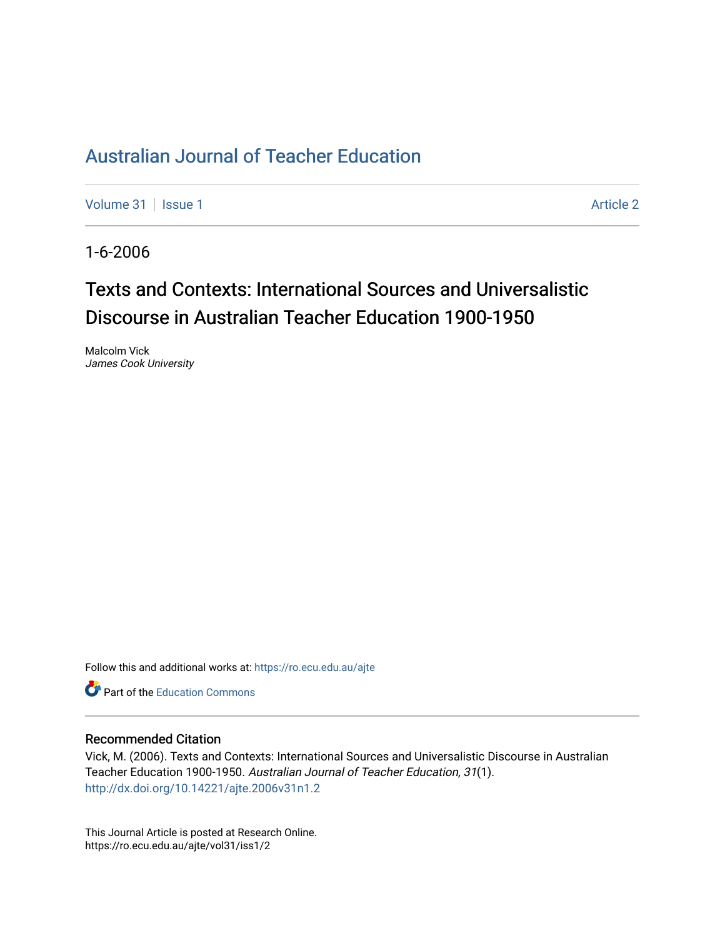# [Australian Journal of Teacher Education](https://ro.ecu.edu.au/ajte)

[Volume 31](https://ro.ecu.edu.au/ajte/vol31) | [Issue 1](https://ro.ecu.edu.au/ajte/vol31/iss1) Article 2

1-6-2006

# Texts and Contexts: International Sources and Universalistic Discourse in Australian Teacher Education 1900-1950

Malcolm Vick James Cook University

Follow this and additional works at: [https://ro.ecu.edu.au/ajte](https://ro.ecu.edu.au/ajte?utm_source=ro.ecu.edu.au%2Fajte%2Fvol31%2Fiss1%2F2&utm_medium=PDF&utm_campaign=PDFCoverPages) 

**Part of the Education Commons** 

### Recommended Citation

Vick, M. (2006). Texts and Contexts: International Sources and Universalistic Discourse in Australian Teacher Education 1900-1950. Australian Journal of Teacher Education, 31(1). <http://dx.doi.org/10.14221/ajte.2006v31n1.2>

This Journal Article is posted at Research Online. https://ro.ecu.edu.au/ajte/vol31/iss1/2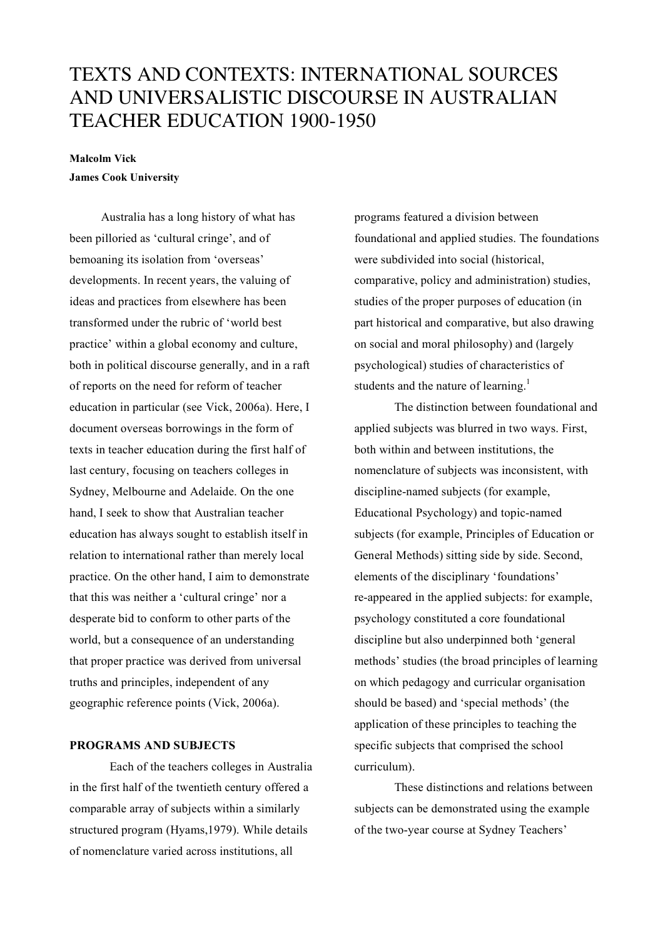# TEXTS AND CONTEXTS: INTERNATIONAL SOURCES AND UNIVERSALISTIC DISCOURSE IN AUSTRALIAN TEACHER EDUCATION 1900-1950

#### **Malcolm Vick**

**James Cook University**

Australia has a long history of what has been pilloried as 'cultural cringe', and of bemoaning its isolation from 'overseas' developments. In recent years, the valuing of ideas and practices from elsewhere has been transformed under the rubric of 'world best practice' within a global economy and culture, both in political discourse generally, and in a raft of reports on the need for reform of teacher education in particular (see Vick, 2006a). Here, I document overseas borrowings in the form of texts in teacher education during the first half of last century, focusing on teachers colleges in Sydney, Melbourne and Adelaide. On the one hand, I seek to show that Australian teacher education has always sought to establish itself in relation to international rather than merely local practice. On the other hand, I aim to demonstrate that this was neither a 'cultural cringe' nor a desperate bid to conform to other parts of the world, but a consequence of an understanding that proper practice was derived from universal truths and principles, independent of any geographic reference points (Vick, 2006a).

### **PROGRAMS AND SUBJECTS**

Each of the teachers colleges in Australia in the first half of the twentieth century offered a comparable array of subjects within a similarly structured program (Hyams,1979). While details of nomenclature varied across institutions, all

programs featured a division between foundational and applied studies. The foundations were subdivided into social (historical, comparative, policy and administration) studies, studies of the proper purposes of education (in part historical and comparative, but also drawing on social and moral philosophy) and (largely psychological) studies of characteristics of students and the nature of learning.<sup>1</sup>

The distinction between foundational and applied subjects was blurred in two ways. First, both within and between institutions, the nomenclature of subjects was inconsistent, with discipline-named subjects (for example, Educational Psychology) and topic-named subjects (for example, Principles of Education or General Methods) sitting side by side. Second, elements of the disciplinary 'foundations' re-appeared in the applied subjects: for example, psychology constituted a core foundational discipline but also underpinned both 'general methods' studies (the broad principles of learning on which pedagogy and curricular organisation should be based) and 'special methods' (the application of these principles to teaching the specific subjects that comprised the school curriculum).

These distinctions and relations between subjects can be demonstrated using the example of the two-year course at Sydney Teachers'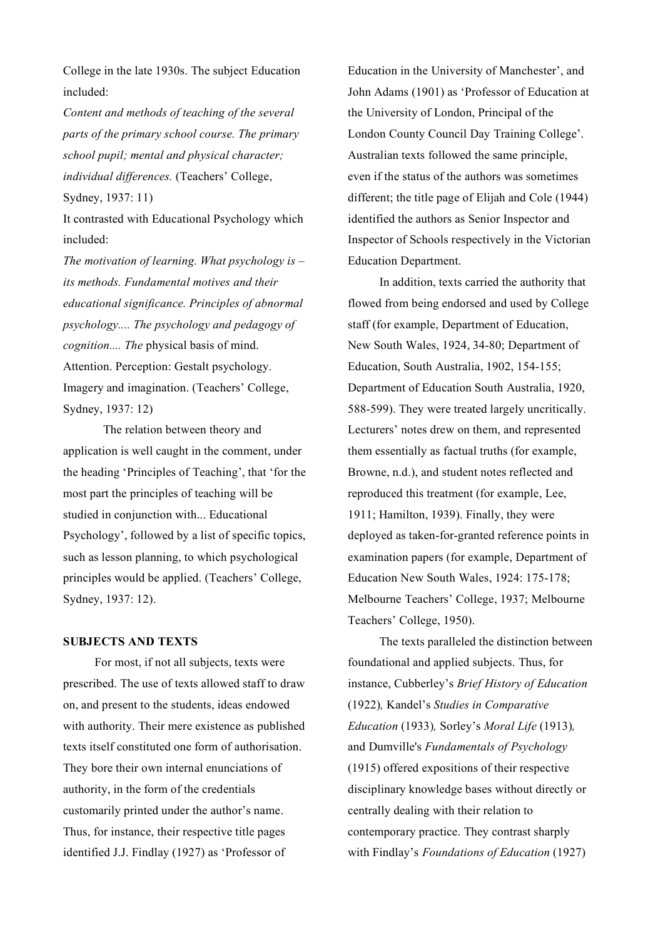College in the late 1930s. The subject Education included:

*Content and methods of teaching of the several parts of the primary school course. The primary school pupil; mental and physical character; individual differences.* (Teachers' College, Sydney, 1937: 11)

It contrasted with Educational Psychology which included:

*The motivation of learning. What psychology is – its methods. Fundamental motives and their educational significance. Principles of abnormal psychology.... The psychology and pedagogy of cognition.... The* physical basis of mind. Attention. Perception: Gestalt psychology. Imagery and imagination. (Teachers' College, Sydney, 1937: 12)

The relation between theory and application is well caught in the comment, under the heading 'Principles of Teaching', that 'for the most part the principles of teaching will be studied in conjunction with... Educational Psychology', followed by a list of specific topics, such as lesson planning, to which psychological principles would be applied. (Teachers' College, Sydney, 1937: 12).

### **SUBJECTS AND TEXTS**

For most, if not all subjects, texts were prescribed. The use of texts allowed staff to draw on, and present to the students, ideas endowed with authority. Their mere existence as published texts itself constituted one form of authorisation. They bore their own internal enunciations of authority, in the form of the credentials customarily printed under the author's name. Thus, for instance, their respective title pages identified J.J. Findlay (1927) as 'Professor of

Education in the University of Manchester', and John Adams (1901) as 'Professor of Education at the University of London, Principal of the London County Council Day Training College'. Australian texts followed the same principle, even if the status of the authors was sometimes different; the title page of Elijah and Cole (1944) identified the authors as Senior Inspector and Inspector of Schools respectively in the Victorian Education Department.

In addition, texts carried the authority that flowed from being endorsed and used by College staff (for example, Department of Education, New South Wales, 1924, 34-80; Department of Education, South Australia, 1902, 154-155; Department of Education South Australia, 1920, 588-599). They were treated largely uncritically. Lecturers' notes drew on them, and represented them essentially as factual truths (for example, Browne, n.d.), and student notes reflected and reproduced this treatment (for example, Lee, 1911; Hamilton, 1939). Finally, they were deployed as taken-for-granted reference points in examination papers (for example, Department of Education New South Wales, 1924: 175-178; Melbourne Teachers' College, 1937; Melbourne Teachers' College, 1950).

The texts paralleled the distinction between foundational and applied subjects. Thus, for instance, Cubberley's *Brief History of Education* (1922)*,* Kandel's *Studies in Comparative Education* (1933)*,* Sorley's *Moral Life* (1913)*,* and Dumville's *Fundamentals of Psychology*  (1915) offered expositions of their respective disciplinary knowledge bases without directly or centrally dealing with their relation to contemporary practice. They contrast sharply with Findlay's *Foundations of Education* (1927)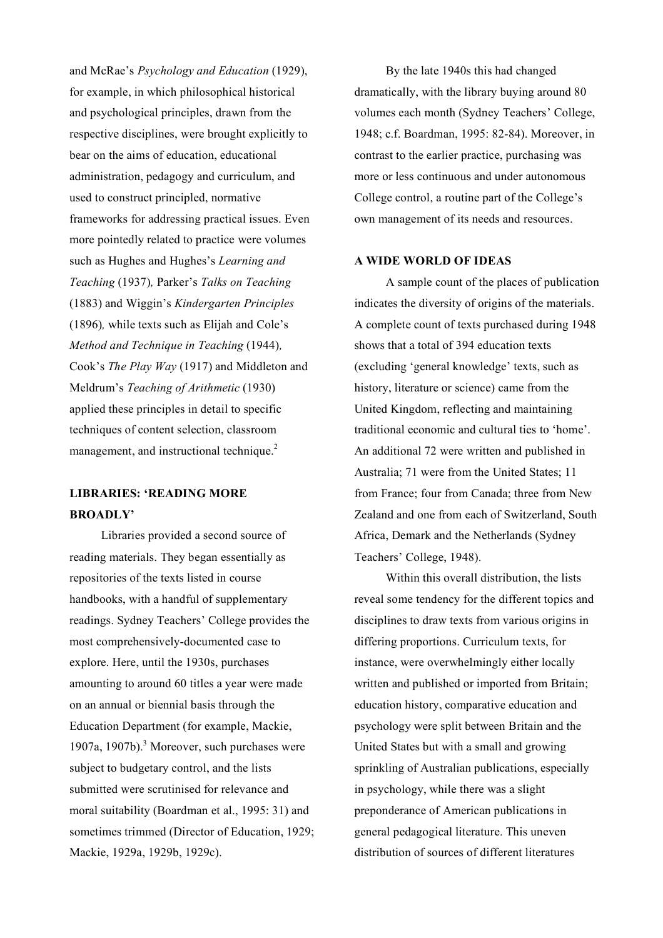and McRae's *Psychology and Education* (1929), for example, in which philosophical historical and psychological principles, drawn from the respective disciplines, were brought explicitly to bear on the aims of education, educational administration, pedagogy and curriculum, and used to construct principled, normative frameworks for addressing practical issues. Even more pointedly related to practice were volumes such as Hughes and Hughes's *Learning and Teaching* (1937)*,* Parker's *Talks on Teaching* (1883) and Wiggin's *Kindergarten Principles* (1896)*,* while texts such as Elijah and Cole's *Method and Technique in Teaching* (1944)*,* Cook's *The Play Way* (1917) and Middleton and Meldrum's *Teaching of Arithmetic* (1930) applied these principles in detail to specific techniques of content selection, classroom management, and instructional technique.<sup>2</sup>

## **LIBRARIES: 'READING MORE BROADLY'**

Libraries provided a second source of reading materials. They began essentially as repositories of the texts listed in course handbooks, with a handful of supplementary readings. Sydney Teachers' College provides the most comprehensively-documented case to explore. Here, until the 1930s, purchases amounting to around 60 titles a year were made on an annual or biennial basis through the Education Department (for example, Mackie, 1907a, 1907b).<sup>3</sup> Moreover, such purchases were subject to budgetary control, and the lists submitted were scrutinised for relevance and moral suitability (Boardman et al., 1995: 31) and sometimes trimmed (Director of Education, 1929; Mackie, 1929a, 1929b, 1929c).

By the late 1940s this had changed dramatically, with the library buying around 80 volumes each month (Sydney Teachers' College, 1948; c.f. Boardman, 1995: 82-84). Moreover, in contrast to the earlier practice, purchasing was more or less continuous and under autonomous College control, a routine part of the College's own management of its needs and resources.

### **A WIDE WORLD OF IDEAS**

A sample count of the places of publication indicates the diversity of origins of the materials. A complete count of texts purchased during 1948 shows that a total of 394 education texts (excluding 'general knowledge' texts, such as history, literature or science) came from the United Kingdom, reflecting and maintaining traditional economic and cultural ties to 'home'. An additional 72 were written and published in Australia; 71 were from the United States; 11 from France; four from Canada; three from New Zealand and one from each of Switzerland, South Africa, Demark and the Netherlands (Sydney Teachers' College, 1948).

Within this overall distribution, the lists reveal some tendency for the different topics and disciplines to draw texts from various origins in differing proportions. Curriculum texts, for instance, were overwhelmingly either locally written and published or imported from Britain; education history, comparative education and psychology were split between Britain and the United States but with a small and growing sprinkling of Australian publications, especially in psychology, while there was a slight preponderance of American publications in general pedagogical literature. This uneven distribution of sources of different literatures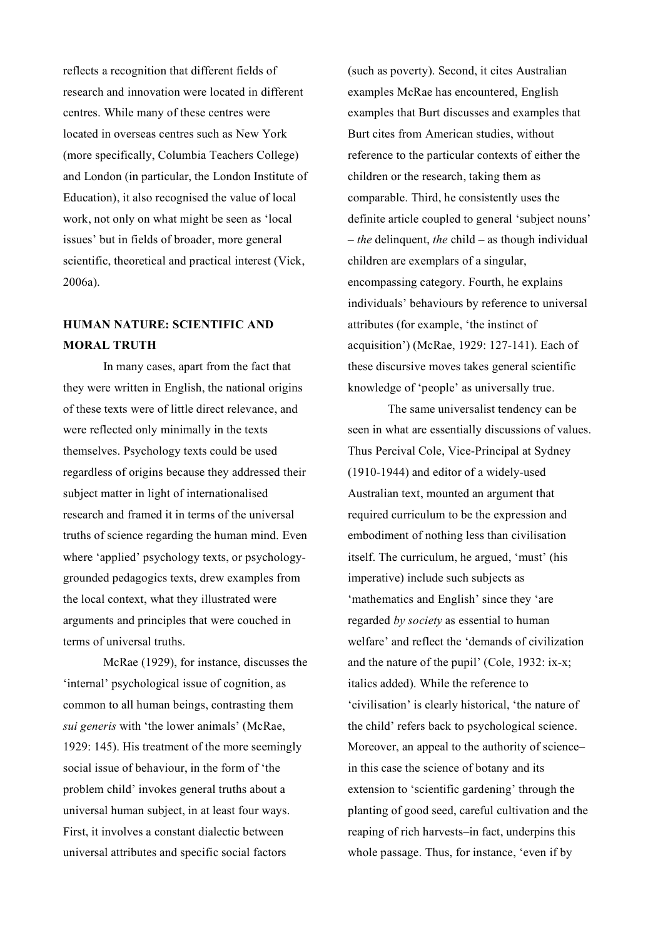reflects a recognition that different fields of research and innovation were located in different centres. While many of these centres were located in overseas centres such as New York (more specifically, Columbia Teachers College) and London (in particular, the London Institute of Education), it also recognised the value of local work, not only on what might be seen as 'local issues' but in fields of broader, more general scientific, theoretical and practical interest (Vick, 2006a).

## **HUMAN NATURE: SCIENTIFIC AND MORAL TRUTH**

In many cases, apart from the fact that they were written in English, the national origins of these texts were of little direct relevance, and were reflected only minimally in the texts themselves. Psychology texts could be used regardless of origins because they addressed their subject matter in light of internationalised research and framed it in terms of the universal truths of science regarding the human mind. Even where 'applied' psychology texts, or psychologygrounded pedagogics texts, drew examples from the local context, what they illustrated were arguments and principles that were couched in terms of universal truths.

McRae (1929), for instance, discusses the 'internal' psychological issue of cognition, as common to all human beings, contrasting them *sui generis* with 'the lower animals' (McRae, 1929: 145). His treatment of the more seemingly social issue of behaviour, in the form of 'the problem child' invokes general truths about a universal human subject, in at least four ways. First, it involves a constant dialectic between universal attributes and specific social factors

(such as poverty). Second, it cites Australian examples McRae has encountered, English examples that Burt discusses and examples that Burt cites from American studies, without reference to the particular contexts of either the children or the research, taking them as comparable. Third, he consistently uses the definite article coupled to general 'subject nouns' – *the* delinquent, *the* child – as though individual children are exemplars of a singular, encompassing category. Fourth, he explains individuals' behaviours by reference to universal attributes (for example, 'the instinct of acquisition') (McRae, 1929: 127-141). Each of these discursive moves takes general scientific knowledge of 'people' as universally true.

The same universalist tendency can be seen in what are essentially discussions of values. Thus Percival Cole, Vice-Principal at Sydney (1910-1944) and editor of a widely-used Australian text, mounted an argument that required curriculum to be the expression and embodiment of nothing less than civilisation itself. The curriculum, he argued, 'must' (his imperative) include such subjects as 'mathematics and English' since they 'are regarded *by society* as essential to human welfare' and reflect the 'demands of civilization and the nature of the pupil' (Cole, 1932: ix-x; italics added). While the reference to 'civilisation' is clearly historical, 'the nature of the child' refers back to psychological science. Moreover, an appeal to the authority of science– in this case the science of botany and its extension to 'scientific gardening' through the planting of good seed, careful cultivation and the reaping of rich harvests–in fact, underpins this whole passage. Thus, for instance, 'even if by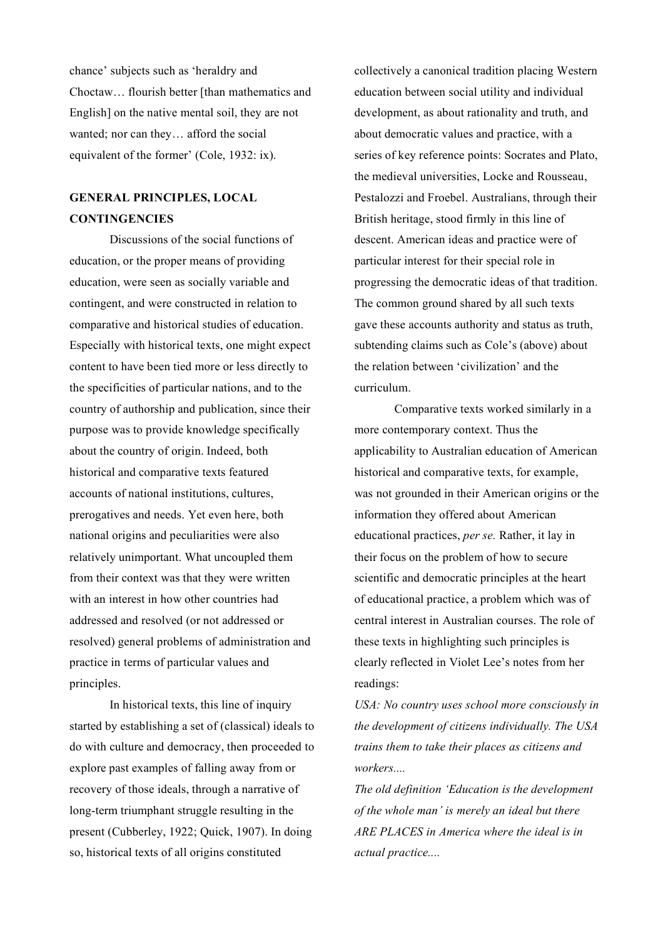chance' subjects such as 'heraldry and Choctaw… flourish better [than mathematics and English] on the native mental soil, they are not wanted; nor can they… afford the social equivalent of the former' (Cole, 1932: ix).

## **GENERAL PRINCIPLES, LOCAL CONTINGENCIES**

Discussions of the social functions of education, or the proper means of providing education, were seen as socially variable and contingent, and were constructed in relation to comparative and historical studies of education. Especially with historical texts, one might expect content to have been tied more or less directly to the specificities of particular nations, and to the country of authorship and publication, since their purpose was to provide knowledge specifically about the country of origin. Indeed, both historical and comparative texts featured accounts of national institutions, cultures, prerogatives and needs. Yet even here, both national origins and peculiarities were also relatively unimportant. What uncoupled them from their context was that they were written with an interest in how other countries had addressed and resolved (or not addressed or resolved) general problems of administration and practice in terms of particular values and principles.

In historical texts, this line of inquiry started by establishing a set of (classical) ideals to do with culture and democracy, then proceeded to explore past examples of falling away from or recovery of those ideals, through a narrative of long-term triumphant struggle resulting in the present (Cubberley, 1922; Quick, 1907). In doing so, historical texts of all origins constituted

collectively a canonical tradition placing Western education between social utility and individual development, as about rationality and truth, and about democratic values and practice, with a series of key reference points: Socrates and Plato, the medieval universities, Locke and Rousseau, Pestalozzi and Froebel. Australians, through their British heritage, stood firmly in this line of descent. American ideas and practice were of particular interest for their special role in progressing the democratic ideas of that tradition. The common ground shared by all such texts gave these accounts authority and status as truth, subtending claims such as Cole's (above) about the relation between 'civilization' and the curriculum.

Comparative texts worked similarly in a more contemporary context. Thus the applicability to Australian education of American historical and comparative texts, for example, was not grounded in their American origins or the information they offered about American educational practices, *per se.* Rather, it lay in their focus on the problem of how to secure scientific and democratic principles at the heart of educational practice, a problem which was of central interest in Australian courses. The role of these texts in highlighting such principles is clearly reflected in Violet Lee's notes from her readings:

*USA: No country uses school more consciously in the development of citizens individually. The USA trains them to take their places as citizens and workers....*

*The old definition 'Education is the development of the whole man' is merely an ideal but there ARE PLACES in America where the ideal is in actual practice....*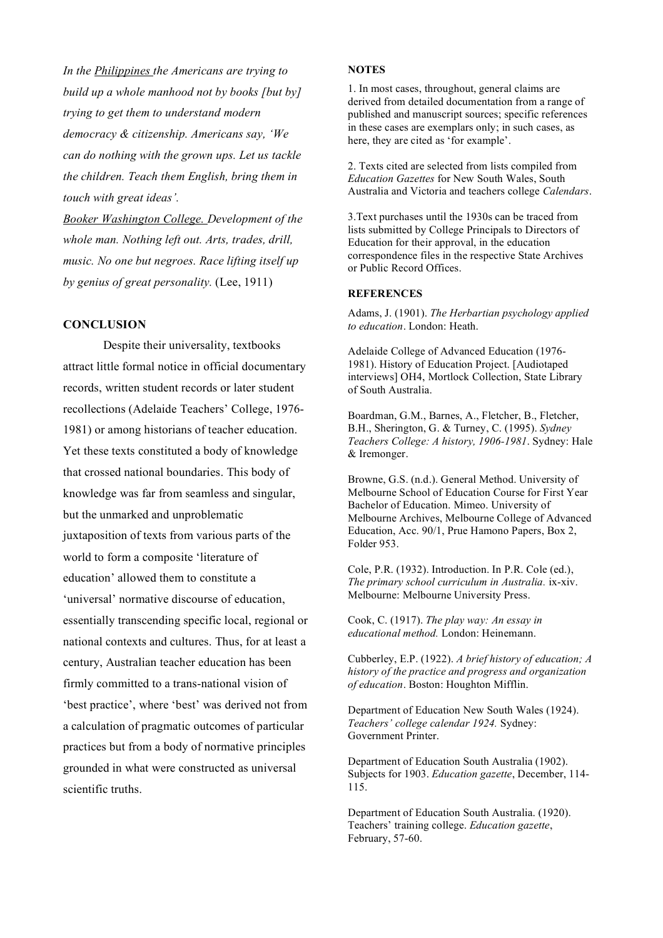*In the Philippines the Americans are trying to build up a whole manhood not by books [but by] trying to get them to understand modern democracy & citizenship. Americans say, 'We can do nothing with the grown ups. Let us tackle the children. Teach them English, bring them in touch with great ideas'.*

*Booker Washington College. Development of the whole man. Nothing left out. Arts, trades, drill, music. No one but negroes. Race lifting itself up by genius of great personality.* (Lee, 1911)

### **CONCLUSION**

Despite their universality, textbooks attract little formal notice in official documentary records, written student records or later student recollections (Adelaide Teachers' College, 1976- 1981) or among historians of teacher education. Yet these texts constituted a body of knowledge that crossed national boundaries. This body of knowledge was far from seamless and singular, but the unmarked and unproblematic juxtaposition of texts from various parts of the world to form a composite 'literature of education' allowed them to constitute a 'universal' normative discourse of education, essentially transcending specific local, regional or national contexts and cultures. Thus, for at least a century, Australian teacher education has been firmly committed to a trans-national vision of 'best practice', where 'best' was derived not from a calculation of pragmatic outcomes of particular practices but from a body of normative principles grounded in what were constructed as universal scientific truths.

#### **NOTES**

1. In most cases, throughout, general claims are derived from detailed documentation from a range of published and manuscript sources; specific references in these cases are exemplars only; in such cases, as here, they are cited as 'for example'.

2. Texts cited are selected from lists compiled from *Education Gazettes* for New South Wales, South Australia and Victoria and teachers college *Calendars*.

3.Text purchases until the 1930s can be traced from lists submitted by College Principals to Directors of Education for their approval, in the education correspondence files in the respective State Archives or Public Record Offices.

#### **REFERENCES**

Adams, J. (1901). *The Herbartian psychology applied to education*. London: Heath.

Adelaide College of Advanced Education (1976- 1981). History of Education Project. [Audiotaped interviews] OH4, Mortlock Collection, State Library of South Australia.

Boardman, G.M., Barnes, A., Fletcher, B., Fletcher, B.H., Sherington, G. & Turney, C. (1995). *Sydney Teachers College: A history, 1906-1981*. Sydney: Hale & Iremonger.

Browne, G.S. (n.d.). General Method. University of Melbourne School of Education Course for First Year Bachelor of Education. Mimeo. University of Melbourne Archives, Melbourne College of Advanced Education, Acc. 90/1, Prue Hamono Papers, Box 2, Folder 953.

Cole, P.R. (1932). Introduction. In P.R. Cole (ed.), *The primary school curriculum in Australia.* ix-xiv. Melbourne: Melbourne University Press.

Cook, C. (1917). *The play way: An essay in educational method.* London: Heinemann.

Cubberley, E.P. (1922). *A brief history of education; A history of the practice and progress and organization of education*. Boston: Houghton Mifflin.

Department of Education New South Wales (1924). *Teachers' college calendar 1924.* Sydney: Government Printer.

Department of Education South Australia (1902). Subjects for 1903. *Education gazette*, December, 114- 115.

Department of Education South Australia. (1920). Teachers' training college. *Education gazette*, February, 57-60.